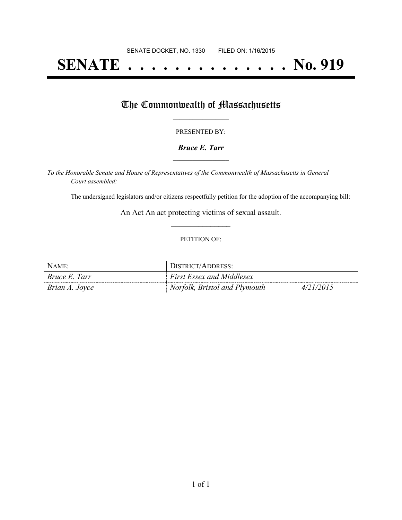# **SENATE . . . . . . . . . . . . . . No. 919**

### The Commonwealth of Massachusetts

#### PRESENTED BY:

#### *Bruce E. Tarr* **\_\_\_\_\_\_\_\_\_\_\_\_\_\_\_\_\_**

*To the Honorable Senate and House of Representatives of the Commonwealth of Massachusetts in General Court assembled:*

The undersigned legislators and/or citizens respectfully petition for the adoption of the accompanying bill:

An Act An act protecting victims of sexual assault. **\_\_\_\_\_\_\_\_\_\_\_\_\_\_\_**

#### PETITION OF:

| NAME:                | DISTRICT/ADDRESS:                |           |
|----------------------|----------------------------------|-----------|
| <i>Bruce E. Tarr</i> | <b>First Essex and Middlesex</b> |           |
| Brian A. Joyce       | Norfolk, Bristol and Plymouth    | 4/21/2015 |